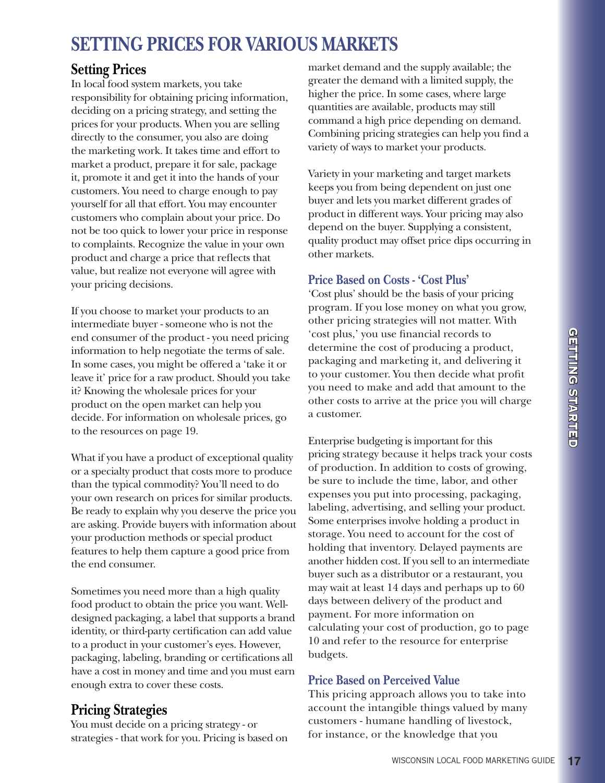# **SETTING PRICES FOR VARIOUS MARKETS**

# **Setting Prices**

In local food system markets, you take responsibility for obtaining pricing information, deciding on a pricing strategy, and setting the prices for your products. When you are selling directly to the consumer, you also are doing the marketing work. It takes time and effort to market a product, prepare it for sale, package it, promote it and get it into the hands of your customers. You need to charge enough to pay yourself for all that effort. You may encounter customers who complain about your price. Do not be too quick to lower your price in response to complaints. Recognize the value in your own product and charge a price that reflects that value, but realize not everyone will agree with your pricing decisions.

If you choose to market your products to an intermediate buyer - someone who is not the end consumer of the product - you need pricing information to help negotiate the terms of sale. In some cases, you might be offered a 'take it or leave it' price for a raw product. Should you take it? Knowing the wholesale prices for your product on the open market can help you decide. For information on wholesale prices, go to the resources on page 19.

What if you have a product of exceptional quality or a specialty product that costs more to produce than the typical commodity? You'll need to do your own research on prices for similar products. Be ready to explain why you deserve the price you are asking. Provide buyers with information about your production methods or special product features to help them capture a good price from the end consumer.

Sometimes you need more than a high quality food product to obtain the price you want. Welldesigned packaging, a label that supports a brand identity, or third-party certification can add value to a product in your customer's eyes. However, packaging, labeling, branding or certifications all have a cost in money and time and you must earn enough extra to cover these costs.

# **Pricing Strategies**

You must decide on a pricing strategy - or strategies - that work for you. Pricing is based on

market demand and the supply available; the greater the demand with a limited supply, the higher the price. In some cases, where large quantities are available, products may still command a high price depending on demand. Combining pricing strategies can help you find a variety of ways to market your products.

Variety in your marketing and target markets keeps you from being dependent on just one buyer and lets you market different grades of product in different ways. Your pricing may also depend on the buyer. Supplying a consistent, quality product may offset price dips occurring in other markets.

# **Price Based on Costs - 'Cost Plus'**

'Cost plus' should be the basis of your pricing program. If you lose money on what you grow, other pricing strategies will not matter. With 'cost plus,' you use financial records to determine the cost of producing a product, packaging and marketing it, and delivering it to your customer. You then decide what profit you need to make and add that amount to the other costs to arrive at the price you will charge a customer.

Enterprise budgeting is important for this pricing strategy because it helps track your costs of production. In addition to costs of growing, be sure to include the time, labor, and other expenses you put into processing, packaging, labeling, advertising, and selling your product. Some enterprises involve holding a product in storage. You need to account for the cost of holding that inventory. Delayed payments are another hidden cost. If you sell to an intermediate buyer such as a distributor or a restaurant, you may wait at least 14 days and perhaps up to 60 days between delivery of the product and payment. For more information on calculating your cost of production, go to page 10 and refer to the resource for enterprise budgets.

# **Price Based on Perceived Value**

This pricing approach allows you to take into account the intangible things valued by many customers - humane handling of livestock, for instance, or the knowledge that you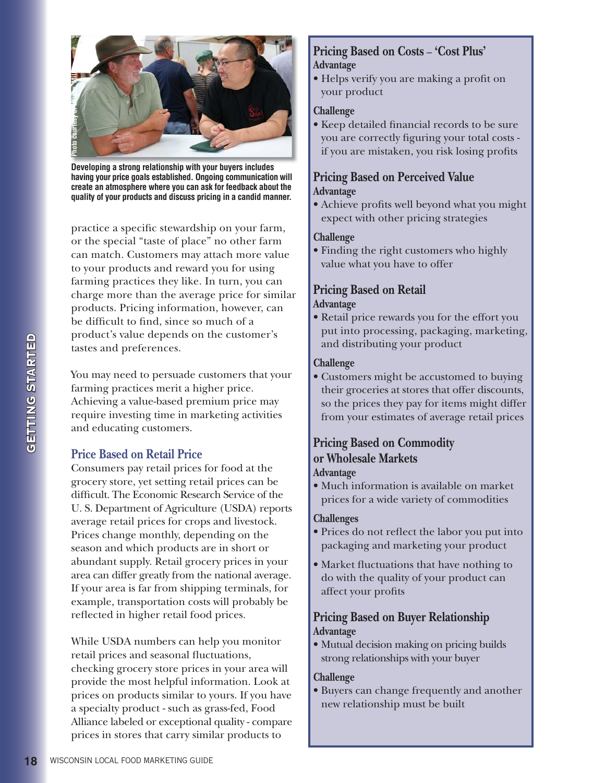

**Developing a strong relationship with your buyers includes having your price goals established. Ongoing communication will create an atmosphere where you can ask for feedback about the** 

practice a specific stewardship on your farm, or the special "taste of place" no other farm can match. Customers may attach more value to your products and reward you for using farming practices they like. In turn, you can charge more than the average price for similar products. Pricing information, however, can be difficult to find, since so much of a product's value depends on the customer's tastes and preferences.

You may need to persuade customers that your farming practices merit a higher price. Achieving a value-based premium price may require investing time in marketing activities and educating customers.

## **Price Based on Retail Price**

Consumers pay retail prices for food at the grocery store, yet setting retail prices can be difficult. The Economic Research Service of the U. S. Department of Agriculture (USDA) reports average retail prices for crops and livestock. Prices change monthly, depending on the season and which products are in short or abundant supply. Retail grocery prices in your area can differ greatly from the national average. If your area is far from shipping terminals, for example, transportation costs will probably be reflected in higher retail food prices.

While USDA numbers can help you monitor retail prices and seasonal fluctuations, checking grocery store prices in your area will provide the most helpful information. Look at prices on products similar to yours. If you have a specialty product - such as grass-fed, Food Alliance labeled or exceptional quality - compare prices in stores that carry similar products to

## **Pricing Based on Costs** - **'Cost Plus' Advantage**

• Helps verify you are making a profit on your product

#### **Challenge**

• Keep detailed financial records to be sure you are correctly figuring your total costs if you are mistaken, you risk losing profits

## **Pricing Based on Perceived Value Advantage**

• Achieve profits well beyond what you might expect with other pricing strategies

#### **Challenge**

• Finding the right customers who highly value what you have to offer

#### **Pricing Based on Retail Advantage**

• Retail price rewards you for the effort you put into processing, packaging, marketing, and distributing your product

#### **Challenge**

• Customers might be accustomed to buying their groceries at stores that offer discounts, so the prices they pay for items might differ from your estimates of average retail prices

## **Pricing Based on Commodity or Wholesale Markets Advantage**

• Much information is available on market prices for a wide variety of commodities

#### **Challenges**

- Prices do not reflect the labor you put into packaging and marketing your product
- Market fluctuations that have nothing to do with the quality of your product can affect your profits

## **Pricing Based on Buyer Relationship Advantage**

• Mutual decision making on pricing builds strong relationships with your buyer

#### **Challenge**

· Buyers can change frequently and another new relationship must be built